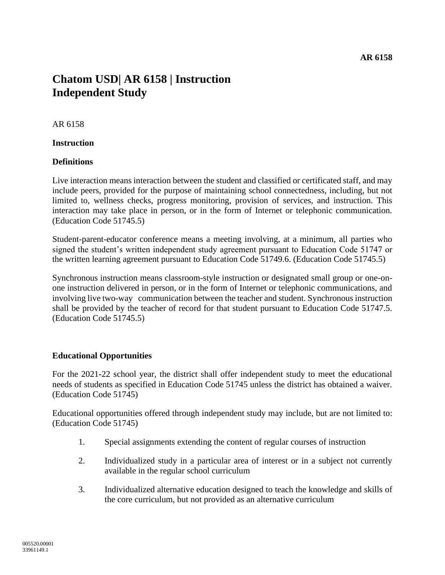# **Chatom USD| AR 6158 | Instruction Independent Study**

## AR 6158

#### **Instruction**

## **Definitions**

Live interaction means interaction between the student and classified or certificated staff, and may include peers, provided for the purpose of maintaining school connectedness, including, but not limited to, wellness checks, progress monitoring, provision of services, and instruction. This interaction may take place in person, or in the form of Internet or telephonic communication. (Education Code 51745.5)

Student-parent-educator conference means a meeting involving, at a minimum, all parties who signed the student's written independent study agreement pursuant to Education Code 51747 or the written learning agreement pursuant to Education Code 51749.6. (Education Code 51745.5)

Synchronous instruction means classroom-style instruction or designated small group or one-onone instruction delivered in person, or in the form of Internet or telephonic communications, and involving live two-way communication between the teacher and student. Synchronous instruction shall be provided by the teacher of record for that student pursuant to Education Code 51747.5. (Education Code 51745.5)

## **Educational Opportunities**

For the 2021-22 school year, the district shall offer independent study to meet the educational needs of students as specified in Education Code 51745 unless the district has obtained a waiver. (Education Code 51745)

Educational opportunities offered through independent study may include, but are not limited to: (Education Code 51745)

- 1. Special assignments extending the content of regular courses of instruction
- 2. Individualized study in a particular area of interest or in a subject not currently available in the regular school curriculum
- 3. Individualized alternative education designed to teach the knowledge and skills of the core curriculum, but not provided as an alternative curriculum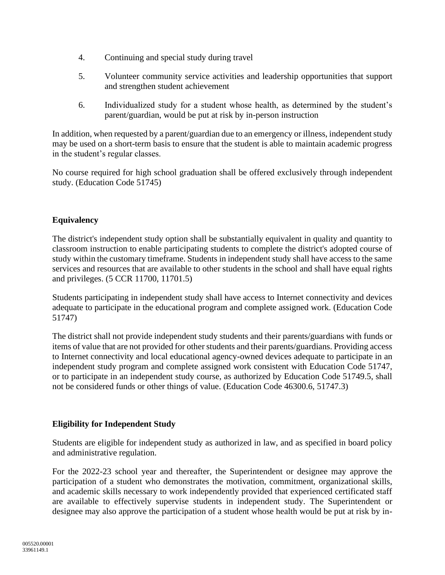- 4. Continuing and special study during travel
- 5. Volunteer community service activities and leadership opportunities that support and strengthen student achievement
- 6. Individualized study for a student whose health, as determined by the student's parent/guardian, would be put at risk by in-person instruction

In addition, when requested by a parent/guardian due to an emergency or illness, independent study may be used on a short-term basis to ensure that the student is able to maintain academic progress in the student's regular classes.

No course required for high school graduation shall be offered exclusively through independent study. (Education Code 51745)

# **Equivalency**

The district's independent study option shall be substantially equivalent in quality and quantity to classroom instruction to enable participating students to complete the district's adopted course of study within the customary timeframe. Students in independent study shall have access to the same services and resources that are available to other students in the school and shall have equal rights and privileges. (5 CCR 11700, 11701.5)

Students participating in independent study shall have access to Internet connectivity and devices adequate to participate in the educational program and complete assigned work. (Education Code 51747)

The district shall not provide independent study students and their parents/guardians with funds or items of value that are not provided for other students and their parents/guardians. Providing access to Internet connectivity and local educational agency-owned devices adequate to participate in an independent study program and complete assigned work consistent with Education Code 51747, or to participate in an independent study course, as authorized by Education Code 51749.5, shall not be considered funds or other things of value. (Education Code 46300.6, 51747.3)

# **Eligibility for Independent Study**

Students are eligible for independent study as authorized in law, and as specified in board policy and administrative regulation.

For the 2022-23 school year and thereafter, the Superintendent or designee may approve the participation of a student who demonstrates the motivation, commitment, organizational skills, and academic skills necessary to work independently provided that experienced certificated staff are available to effectively supervise students in independent study. The Superintendent or designee may also approve the participation of a student whose health would be put at risk by in-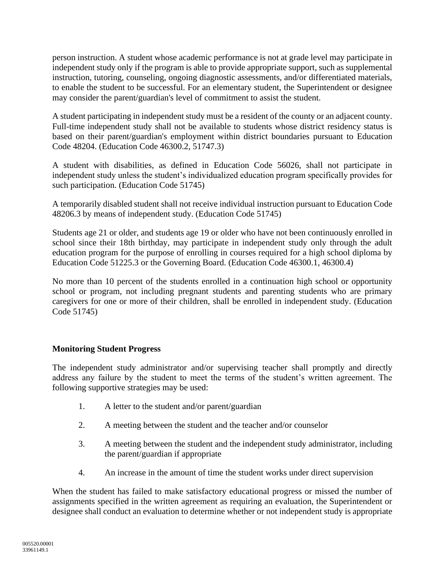person instruction. A student whose academic performance is not at grade level may participate in independent study only if the program is able to provide appropriate support, such as supplemental instruction, tutoring, counseling, ongoing diagnostic assessments, and/or differentiated materials, to enable the student to be successful. For an elementary student, the Superintendent or designee may consider the parent/guardian's level of commitment to assist the student.

A student participating in independent study must be a resident of the county or an adjacent county. Full-time independent study shall not be available to students whose district residency status is based on their parent/guardian's employment within district boundaries pursuant to Education Code 48204. (Education Code 46300.2, 51747.3)

A student with disabilities, as defined in Education Code 56026, shall not participate in independent study unless the student's individualized education program specifically provides for such participation. (Education Code 51745)

A temporarily disabled student shall not receive individual instruction pursuant to Education Code 48206.3 by means of independent study. (Education Code 51745)

Students age 21 or older, and students age 19 or older who have not been continuously enrolled in school since their 18th birthday, may participate in independent study only through the adult education program for the purpose of enrolling in courses required for a high school diploma by Education Code 51225.3 or the Governing Board. (Education Code 46300.1, 46300.4)

No more than 10 percent of the students enrolled in a continuation high school or opportunity school or program, not including pregnant students and parenting students who are primary caregivers for one or more of their children, shall be enrolled in independent study. (Education Code 51745)

## **Monitoring Student Progress**

The independent study administrator and/or supervising teacher shall promptly and directly address any failure by the student to meet the terms of the student's written agreement. The following supportive strategies may be used:

- 1. A letter to the student and/or parent/guardian
- 2. A meeting between the student and the teacher and/or counselor
- 3. A meeting between the student and the independent study administrator, including the parent/guardian if appropriate
- 4. An increase in the amount of time the student works under direct supervision

When the student has failed to make satisfactory educational progress or missed the number of assignments specified in the written agreement as requiring an evaluation, the Superintendent or designee shall conduct an evaluation to determine whether or not independent study is appropriate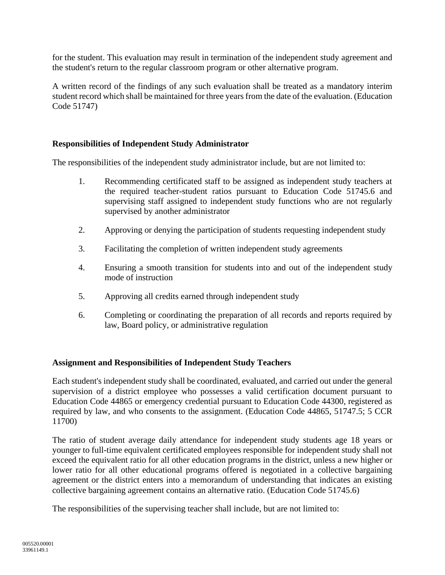for the student. This evaluation may result in termination of the independent study agreement and the student's return to the regular classroom program or other alternative program.

A written record of the findings of any such evaluation shall be treated as a mandatory interim student record which shall be maintained for three years from the date of the evaluation. (Education Code 51747)

## **Responsibilities of Independent Study Administrator**

The responsibilities of the independent study administrator include, but are not limited to:

- 1. Recommending certificated staff to be assigned as independent study teachers at the required teacher-student ratios pursuant to Education Code 51745.6 and supervising staff assigned to independent study functions who are not regularly supervised by another administrator
- 2. Approving or denying the participation of students requesting independent study
- 3. Facilitating the completion of written independent study agreements
- 4. Ensuring a smooth transition for students into and out of the independent study mode of instruction
- 5. Approving all credits earned through independent study
- 6. Completing or coordinating the preparation of all records and reports required by law, Board policy, or administrative regulation

#### **Assignment and Responsibilities of Independent Study Teachers**

Each student's independent study shall be coordinated, evaluated, and carried out under the general supervision of a district employee who possesses a valid certification document pursuant to Education Code 44865 or emergency credential pursuant to Education Code 44300, registered as required by law, and who consents to the assignment. (Education Code 44865, 51747.5; 5 CCR 11700)

The ratio of student average daily attendance for independent study students age 18 years or younger to full-time equivalent certificated employees responsible for independent study shall not exceed the equivalent ratio for all other education programs in the district, unless a new higher or lower ratio for all other educational programs offered is negotiated in a collective bargaining agreement or the district enters into a memorandum of understanding that indicates an existing collective bargaining agreement contains an alternative ratio. (Education Code 51745.6)

The responsibilities of the supervising teacher shall include, but are not limited to: